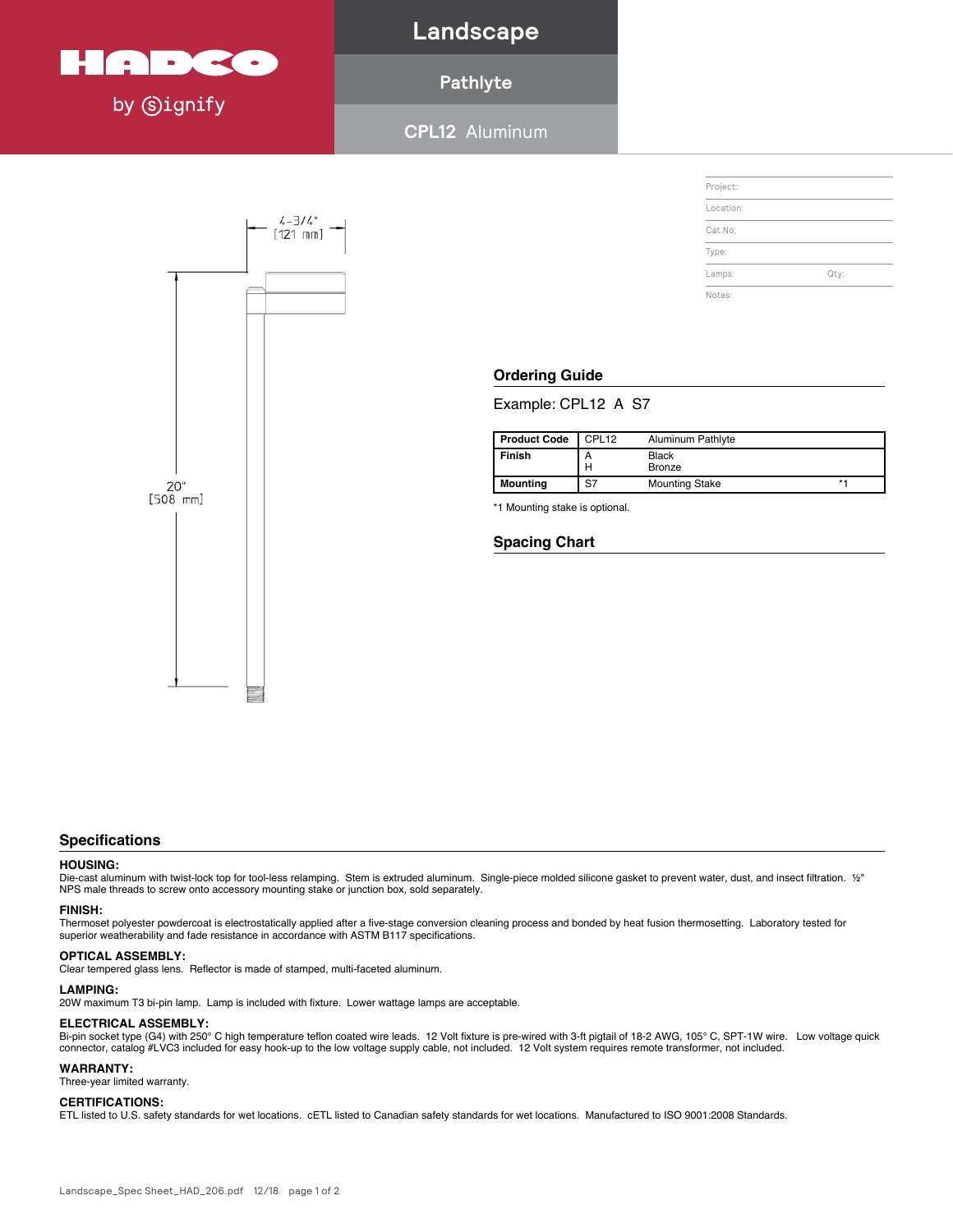

**Landscape**

## **Pathlyte**

**CPL12** Aluminum **Aluminum Pathlyte (CPL12) Specification Sheet**



#### **Ordering Guide Product Code** CPL12 Aluminum Pathlyte **Finish** A Black

Example: CPL12 A S7 **Mounting** S7 Mounting Stake \*1

| <b>Product Code</b> | CPL <sub>12</sub> | Aluminum Pathlyte      |           |
|---------------------|-------------------|------------------------|-----------|
| Finish              | А<br>н            | Black<br><b>Bronze</b> |           |
| Mounting            | S7                | <b>Mounting Stake</b>  | $\star$ . |

\*1 Mounting stake is optional.

#### **Spacing Chart**

#### Thermoset polyester powdercoat is electrostatically applied after a five-stage conversion cleaning process and bonded by heat fusion thermosetting. Laboratory tested for **Specifications** spoon can since resistance in accordance with ASTM B117 specifications.

#### **HOUSING:**

HOUSING:<br>Die-cast aluminum with twist-lock top for tool-less relamping. Stem is extruded aluminum. Single-piece molded silicone gasket to prevent water, dust, and insect filtration. 1/2" NPS male threads to screw onto accessory mounting stake or junction box, sold separately.

#### **Specifications LAMPING: FINISH:**

superior weatherability and fade resistance in accordance with ASTM B117 specifications. Thermoset polyester powdercoat is electrostatically applied after a five-stage conversion cleaning process and bonded by heat fusion thermosetting. Laboratory tested for

#### $\mathbf{C}$ **OPTICAL ASSEMBLY:**  $\blacksquare$

OPTICAL ASSEMBLY:<br>Clear tempered glass lens. Reflector is made of stamped, multi-faceted aluminum.

## **FINISH: WARRANTY: LAMPING:**

LAMPING:<br>20W maximum T3 bi-pin lamp. Lamp is included with fixture. Lower wattage lamps are acceptable.

### $ELECTRICAL ASSEMBLY:$

ELLUTHIUML ASSEMBET.<br>Bi-pin socket type (G4) with 250°C high temperature teflon coated wire leads. 12 Volt fixture is pre-wired with 3-ft pigtail of 18-2 AWG, 105°C, SPT-1W wire. Low voltage quick **Height :** connector, catalog #LVC3 included for easy hook-up to the low voltage supply cable, not included. 12 Volt system requires remote transformer, not included.

## **LAMPING:** LAMP is included with fixture. Lower water with fixture. Lower water water water water water with fixture.

 $\sum_{i=1}^{n}$  is equivalent page 1 of 2001:2008  $\sum_{i=1}^{n}$  of 2001:2008  $\sum_{i=1}^{n}$  of 2001:2008  $\sum_{i=1}^{n}$ Three-year limited warranty.

## **ELECTRICAL ASSEMBLY: CERTIFICATIONS:**

CERTIFICATIONS:<br>ETL listed to U.S. safety standards for wet locations. cETL listed to Canadian safety standards for wet locations. Manufactured to ISO 9001:2008 Standards.